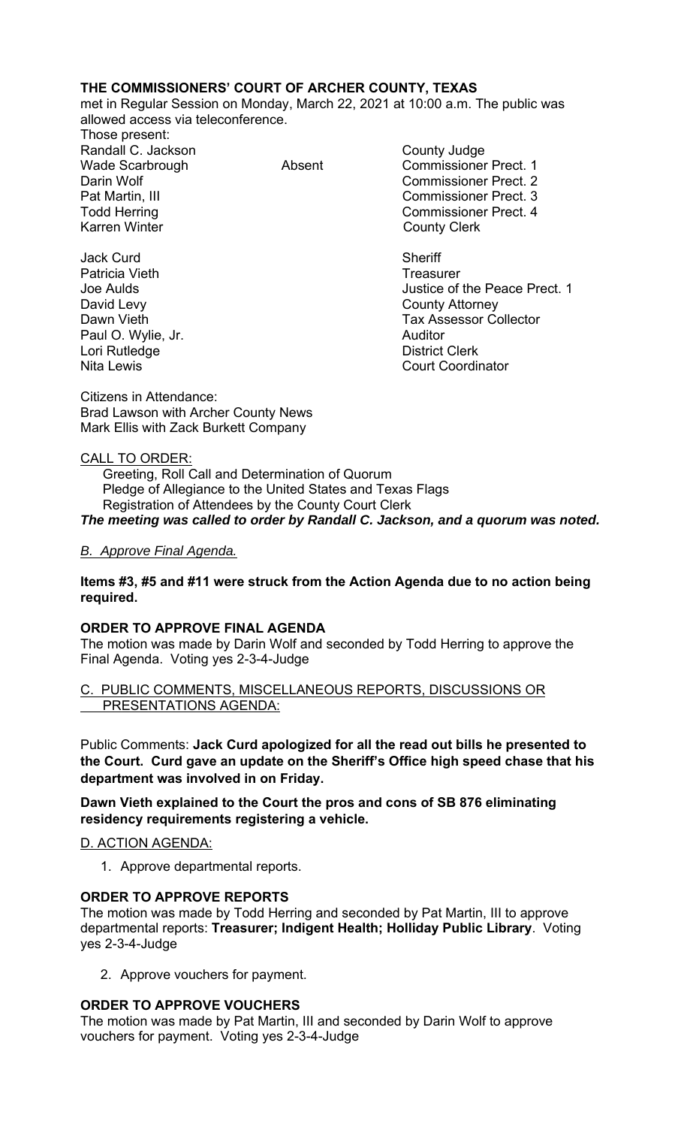# **THE COMMISSIONERS' COURT OF ARCHER COUNTY, TEXAS**

met in Regular Session on Monday, March 22, 2021 at 10:00 a.m. The public was allowed access via teleconference.

Those present: Randall C. Jackson County Judge Karren Winter **County Clerk** 

Jack Curd **Sheriff** Patricia Vieth **Treasurer** Treasurer David Levy **County Attorney** Paul O. Wylie, Jr. **Auditor** Lori Rutledge **District Clerk** 

Wade Scarbrough **Absent** Absent Commissioner Prect. 1 Darin Wolf Commissioner Prect. 2 Pat Martin, III Commissioner Prect. 3 Todd Herring Todd Exercise Commissioner Prect. 4

Joe Aulds Justice of the Peace Prect. 1 **Dawn Vieth Tax Assessor Collector** Collector Nita Lewis

Citizens in Attendance: Brad Lawson with Archer County News Mark Ellis with Zack Burkett Company

## CALL TO ORDER:

 Greeting, Roll Call and Determination of Quorum Pledge of Allegiance to the United States and Texas Flags Registration of Attendees by the County Court Clerk *The meeting was called to order by Randall C. Jackson, and a quorum was noted.* 

# *B. Approve Final Agenda.*

## **Items #3, #5 and #11 were struck from the Action Agenda due to no action being required.**

## **ORDER TO APPROVE FINAL AGENDA**

The motion was made by Darin Wolf and seconded by Todd Herring to approve the Final Agenda. Voting yes 2-3-4-Judge

## PUBLIC COMMENTS, MISCELLANEOUS REPORTS, DISCUSSIONS OR PRESENTATIONS AGENDA:

Public Comments: **Jack Curd apologized for all the read out bills he presented to the Court. Curd gave an update on the Sheriff's Office high speed chase that his department was involved in on Friday.** 

**Dawn Vieth explained to the Court the pros and cons of SB 876 eliminating residency requirements registering a vehicle.** 

# D. ACTION AGENDA:

1. Approve departmental reports.

## **ORDER TO APPROVE REPORTS**

The motion was made by Todd Herring and seconded by Pat Martin, III to approve departmental reports: **Treasurer; Indigent Health; Holliday Public Library**. Voting yes 2-3-4-Judge

2. Approve vouchers for payment.

## **ORDER TO APPROVE VOUCHERS**

The motion was made by Pat Martin, III and seconded by Darin Wolf to approve vouchers for payment. Voting yes 2-3-4-Judge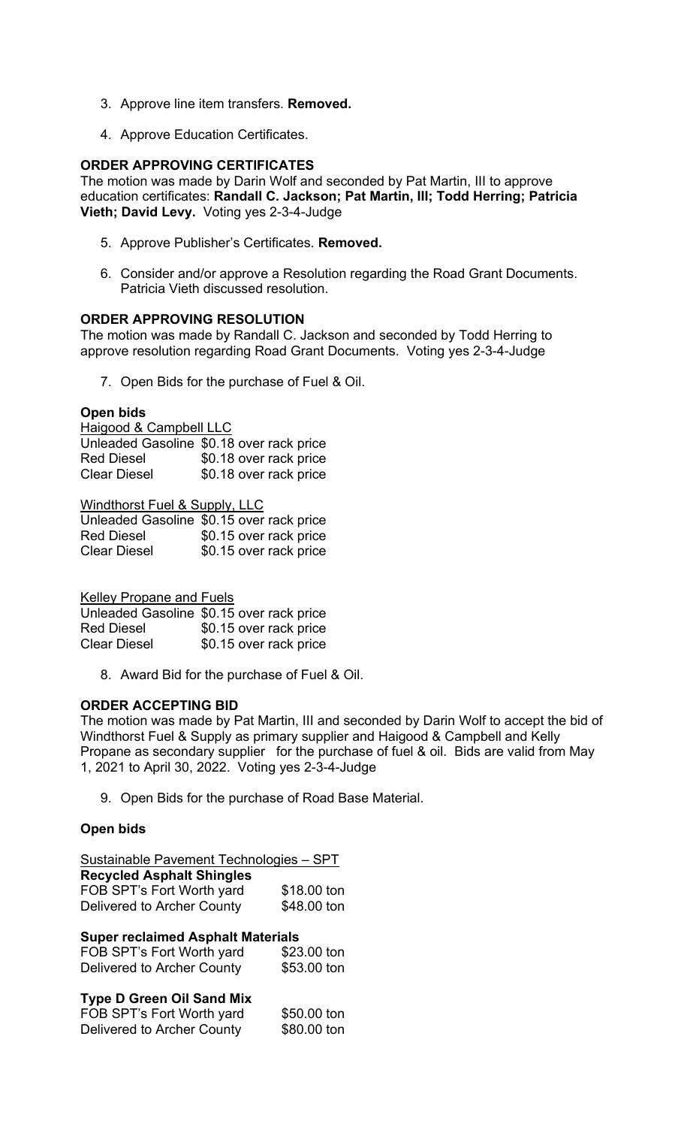- 3. Approve line item transfers. **Removed.**
- 4. Approve Education Certificates.

### **ORDER APPROVING CERTIFICATES**

The motion was made by Darin Wolf and seconded by Pat Martin, III to approve education certificates: **Randall C. Jackson; Pat Martin, III; Todd Herring; Patricia Vieth; David Levy.** Voting yes 2-3-4-Judge

- 5. Approve Publisher's Certificates. **Removed.**
- 6. Consider and/or approve a Resolution regarding the Road Grant Documents. Patricia Vieth discussed resolution.

### **ORDER APPROVING RESOLUTION**

The motion was made by Randall C. Jackson and seconded by Todd Herring to approve resolution regarding Road Grant Documents. Voting yes 2-3-4-Judge

7. Open Bids for the purchase of Fuel & Oil.

### **Open bids**

Haigood & Campbell LLC Unleaded Gasoline \$0.18 over rack price Red Diesel  $$0.18$  over rack price

Clear Diesel \$0.18 over rack price

Windthorst Fuel & Supply, LLC

|                   | Unleaded Gasoline \$0.15 over rack price |
|-------------------|------------------------------------------|
| <b>Red Diesel</b> | \$0.15 over rack price                   |
| Clear Diesel      | \$0.15 over rack price                   |

Kelley Propane and Fuels

Unleaded Gasoline \$0.15 over rack price Red Diesel \$0.15 over rack price Clear Diesel \$0.15 over rack price

8. Award Bid for the purchase of Fuel & Oil.

#### **ORDER ACCEPTING BID**

The motion was made by Pat Martin, III and seconded by Darin Wolf to accept the bid of Windthorst Fuel & Supply as primary supplier and Haigood & Campbell and Kelly Propane as secondary supplier for the purchase of fuel & oil. Bids are valid from May 1, 2021 to April 30, 2022. Voting yes 2-3-4-Judge

9. Open Bids for the purchase of Road Base Material.

## **Open bids**

| Sustainable Pavement Technologies - SPT |             |  |  |
|-----------------------------------------|-------------|--|--|
| <b>Recycled Asphalt Shingles</b>        |             |  |  |
| FOB SPT's Fort Worth yard               | \$18.00 ton |  |  |
| Delivered to Archer County              | \$48.00 ton |  |  |

#### **Super reclaimed Asphalt Materials**

| FOB SPT's Fort Worth yard  | \$23.00 ton |
|----------------------------|-------------|
| Delivered to Archer County | \$53.00 ton |

#### **Type D Green Oil Sand Mix**

| FOB SPT's Fort Worth yard  | \$50.00 ton |
|----------------------------|-------------|
| Delivered to Archer County | \$80.00 ton |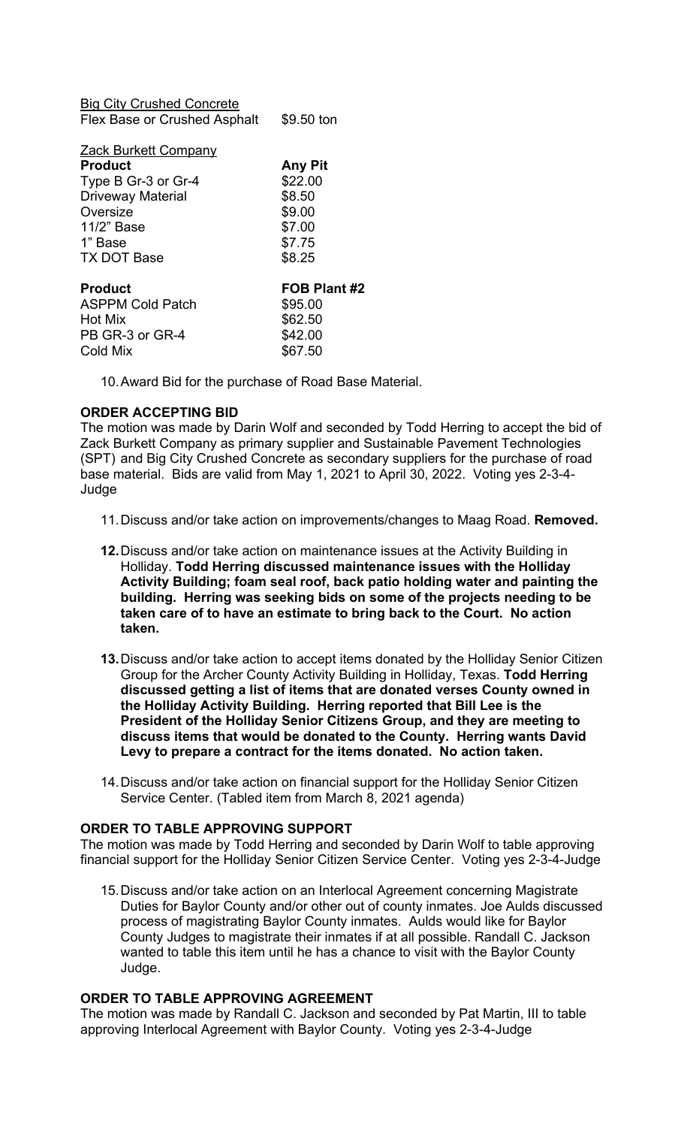| <b>Big City Crushed Concrete</b> |                |
|----------------------------------|----------------|
| Flex Base or Crushed Asphalt     | \$9.50 ton     |
|                                  |                |
| Zack Burkett Company             |                |
| <b>Product</b>                   | <b>Any Pit</b> |
| Type B Gr-3 or Gr-4              | \$22.00        |
| <b>Driveway Material</b>         | \$8.50         |
| Oversize                         | \$9.00         |
| 11/2" Base                       | \$7.00         |
| 1" Base                          | \$7.75         |
| <b>TX DOT Base</b>               | \$8.25         |
|                                  |                |
| <b>Product</b>                   | FOB Plant #2   |
| ASPPM Cold Patch                 | \$95.00        |
| Hot Mix                          | \$62.50        |
| PB GR-3 or GR-4                  | \$42.00        |
| Cold Mix                         | \$67.50        |
|                                  |                |

10. Award Bid for the purchase of Road Base Material.

# **ORDER ACCEPTING BID**

The motion was made by Darin Wolf and seconded by Todd Herring to accept the bid of Zack Burkett Company as primary supplier and Sustainable Pavement Technologies (SPT) and Big City Crushed Concrete as secondary suppliers for the purchase of road base material. Bids are valid from May 1, 2021 to April 30, 2022. Voting yes 2-3-4- Judge

- 11. Discuss and/or take action on improvements/changes to Maag Road. **Removed.**
- **12.** Discuss and/or take action on maintenance issues at the Activity Building in Holliday. **Todd Herring discussed maintenance issues with the Holliday Activity Building; foam seal roof, back patio holding water and painting the building. Herring was seeking bids on some of the projects needing to be taken care of to have an estimate to bring back to the Court. No action taken.**
- **13.** Discuss and/or take action to accept items donated by the Holliday Senior Citizen Group for the Archer County Activity Building in Holliday, Texas. **Todd Herring discussed getting a list of items that are donated verses County owned in the Holliday Activity Building. Herring reported that Bill Lee is the President of the Holliday Senior Citizens Group, and they are meeting to discuss items that would be donated to the County. Herring wants David Levy to prepare a contract for the items donated. No action taken.**
- 14. Discuss and/or take action on financial support for the Holliday Senior Citizen Service Center. (Tabled item from March 8, 2021 agenda)

#### **ORDER TO TABLE APPROVING SUPPORT**

The motion was made by Todd Herring and seconded by Darin Wolf to table approving financial support for the Holliday Senior Citizen Service Center. Voting yes 2-3-4-Judge

15. Discuss and/or take action on an Interlocal Agreement concerning Magistrate Duties for Baylor County and/or other out of county inmates. Joe Aulds discussed process of magistrating Baylor County inmates. Aulds would like for Baylor County Judges to magistrate their inmates if at all possible. Randall C. Jackson wanted to table this item until he has a chance to visit with the Baylor County Judge.

### **ORDER TO TABLE APPROVING AGREEMENT**

The motion was made by Randall C. Jackson and seconded by Pat Martin, III to table approving Interlocal Agreement with Baylor County. Voting yes 2-3-4-Judge